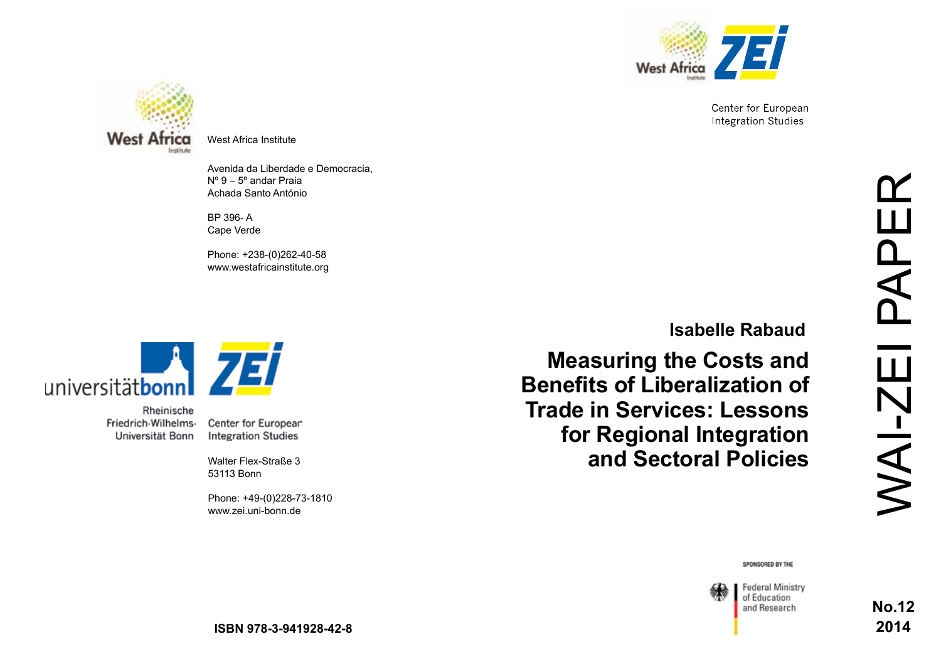

Center for European **Integration Studies** 



West Africa Institute

Avenida da Liberdade e Democracia, Nº 9 – 5º andar Praia Achada Santo António

BP 396- A Cape Verde

Phone: +238-(0)262-40-58 www.westafricainstitute.org



Rheinische Friedrich-Wilhelms-Universität Bonn

Center for European **Integration Studies** 

Walter Flex-Straße 3 53113 Bonn

Phone: +49-(0)228-73-1810 www.zei.uni-bonn.de

**Isabelle Rabaud**

**Measuring the Costs and Benefits of Liberalization of Trade in Services: Lessons for Regional Integration and Sectoral Policies**

SPONSORED BY THE

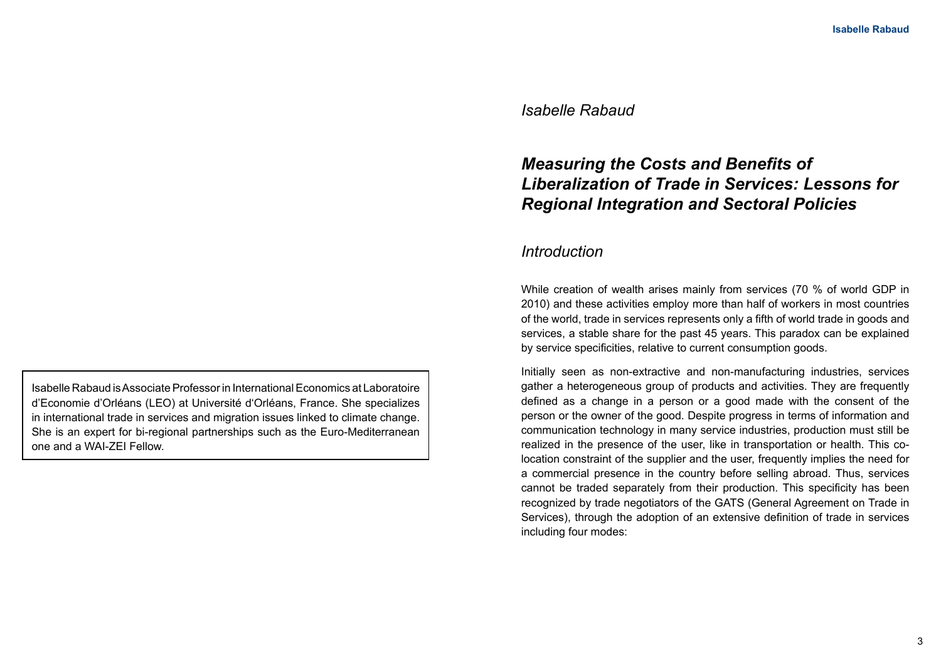# *Isabelle Rabaud*

# *Measuring the Costs and Benefits of Liberalization of Trade in Services: Lessons for Regional Integration and Sectoral Policies*

# *Introduction*

While creation of wealth arises mainly from services (70 % of world GDP in 2010) and these activities employ more than half of workers in most countries of the world, trade in services represents only a fifth of world trade in goods and services, a stable share for the past 45 years. This paradox can be explained by service specificities, relative to current consumption goods.

Initially seen as non-extractive and non-manufacturing industries, services gather a heterogeneous group of products and activities. They are frequently defined as a change in a person or a good made with the consent of the person or the owner of the good. Despite progress in terms of information and communication technology in many service industries, production must still be realized in the presence of the user, like in transportation or health. This colocation constraint of the supplier and the user, frequently implies the need for a commercial presence in the country before selling abroad. Thus, services cannot be traded separately from their production. This specificity has been recognized by trade negotiators of the GATS (General Agreement on Trade in Services), through the adoption of an extensive definition of trade in services including four modes:

Isabelle Rabaud is Associate Professor in International Economics at Laboratoire d'Economie d'Orléans (LEO) at Université d'Orléans, France. She specializes in international trade in services and migration issues linked to climate change. She is an expert for bi-regional partnerships such as the Euro-Mediterranean one and a WAI-ZEI Fellow.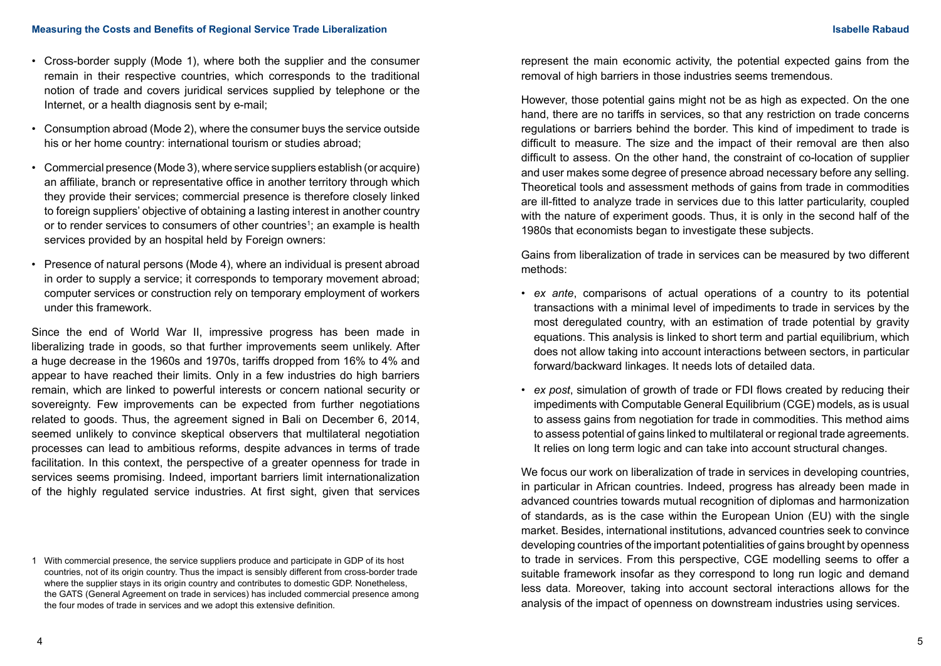- Cross-border supply (Mode 1), where both the supplier and the consumer remain in their respective countries, which corresponds to the traditional notion of trade and covers juridical services supplied by telephone or the Internet, or a health diagnosis sent by e-mail;
- Consumption abroad (Mode 2), where the consumer buys the service outside his or her home country: international tourism or studies abroad;
- Commercial presence (Mode 3), where service suppliers establish (or acquire) an affiliate, branch or representative office in another territory through which they provide their services; commercial presence is therefore closely linked to foreign suppliers' objective of obtaining a lasting interest in another country or to render services to consumers of other countries<sup>1</sup>; an example is health services provided by an hospital held by Foreign owners:
- Presence of natural persons (Mode 4), where an individual is present abroad in order to supply a service; it corresponds to temporary movement abroad; computer services or construction rely on temporary employment of workers under this framework.

Since the end of World War II, impressive progress has been made in liberalizing trade in goods, so that further improvements seem unlikely. After a huge decrease in the 1960s and 1970s, tariffs dropped from 16% to 4% and appear to have reached their limits. Only in a few industries do high barriers remain, which are linked to powerful interests or concern national security or sovereignty. Few improvements can be expected from further negotiations related to goods. Thus, the agreement signed in Bali on December 6, 2014, seemed unlikely to convince skeptical observers that multilateral negotiation processes can lead to ambitious reforms, despite advances in terms of trade facilitation. In this context, the perspective of a greater openness for trade in services seems promising. Indeed, important barriers limit internationalization of the highly regulated service industries. At first sight, given that services

represent the main economic activity, the potential expected gains from the removal of high barriers in those industries seems tremendous.

However, those potential gains might not be as high as expected. On the one hand, there are no tariffs in services, so that any restriction on trade concerns regulations or barriers behind the border. This kind of impediment to trade is difficult to measure. The size and the impact of their removal are then also difficult to assess. On the other hand, the constraint of co-location of supplier and user makes some degree of presence abroad necessary before any selling. Theoretical tools and assessment methods of gains from trade in commodities are ill-fitted to analyze trade in services due to this latter particularity, coupled with the nature of experiment goods. Thus, it is only in the second half of the 1980s that economists began to investigate these subjects.

Gains from liberalization of trade in services can be measured by two different methods:

- *• ex ante*, comparisons of actual operations of a country to its potential transactions with a minimal level of impediments to trade in services by the most deregulated country, with an estimation of trade potential by gravity equations. This analysis is linked to short term and partial equilibrium, which does not allow taking into account interactions between sectors, in particular forward/backward linkages. It needs lots of detailed data.
- *• ex post*, simulation of growth of trade or FDI flows created by reducing their impediments with Computable General Equilibrium (CGE) models, as is usual to assess gains from negotiation for trade in commodities. This method aims to assess potential of gains linked to multilateral or regional trade agreements. It relies on long term logic and can take into account structural changes.

We focus our work on liberalization of trade in services in developing countries, in particular in African countries. Indeed, progress has already been made in advanced countries towards mutual recognition of diplomas and harmonization of standards, as is the case within the European Union (EU) with the single market. Besides, international institutions, advanced countries seek to convince developing countries of the important potentialities of gains brought by openness to trade in services. From this perspective, CGE modelling seems to offer a suitable framework insofar as they correspond to long run logic and demand less data. Moreover, taking into account sectoral interactions allows for the analysis of the impact of openness on downstream industries using services.

<sup>1</sup> With commercial presence, the service suppliers produce and participate in GDP of its host countries, not of its origin country. Thus the impact is sensibly different from cross-border trade where the supplier stays in its origin country and contributes to domestic GDP. Nonetheless, the GATS (General Agreement on trade in services) has included commercial presence among the four modes of trade in services and we adopt this extensive definition.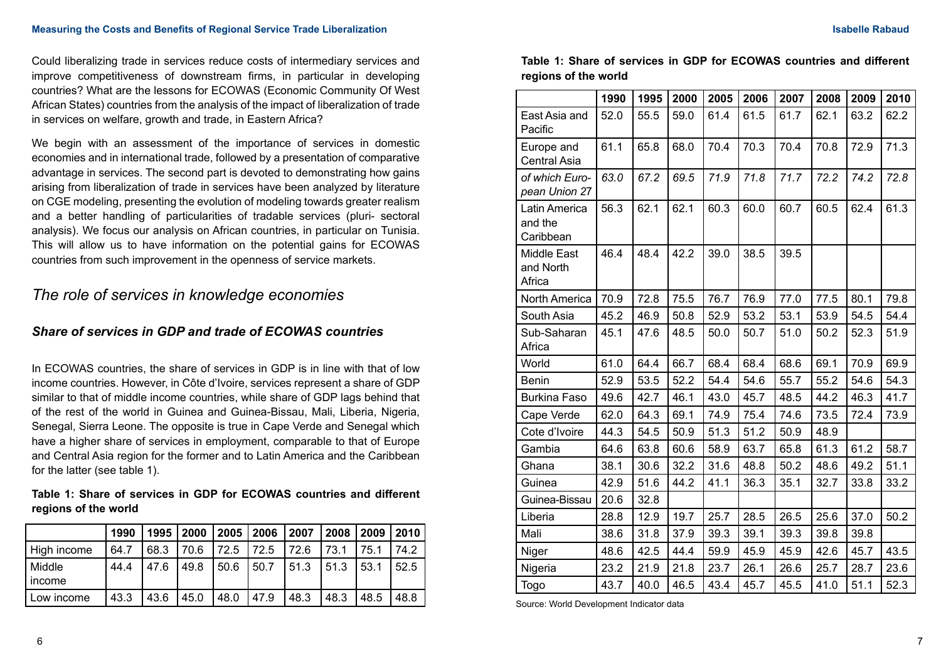Could liberalizing trade in services reduce costs of intermediary services and improve competitiveness of downstream firms, in particular in developing countries? What are the lessons for ECOWAS (Economic Community Of West African States) countries from the analysis of the impact of liberalization of trade in services on welfare, growth and trade, in Eastern Africa?

We begin with an assessment of the importance of services in domestic economies and in international trade, followed by a presentation of comparative advantage in services. The second part is devoted to demonstrating how gains arising from liberalization of trade in services have been analyzed by literature on CGE modeling, presenting the evolution of modeling towards greater realism and a better handling of particularities of tradable services (pluri- sectoral analysis). We focus our analysis on African countries, in particular on Tunisia. This will allow us to have information on the potential gains for ECOWAS countries from such improvement in the openness of service markets.

# *The role of services in knowledge economies*

# *Share of services in GDP and trade of ECOWAS countries*

In ECOWAS countries, the share of services in GDP is in line with that of low income countries. However, in Côte d'Ivoire, services represent a share of GDP similar to that of middle income countries, while share of GDP lags behind that of the rest of the world in Guinea and Guinea-Bissau, Mali, Liberia, Nigeria, Senegal, Sierra Leone. The opposite is true in Cape Verde and Senegal which have a higher share of services in employment, comparable to that of Europe and Central Asia region for the former and to Latin America and the Caribbean for the latter (see table 1).

#### **Table 1: Share of services in GDP for ECOWAS countries and different regions of the world**

|                  | 1990 | 1995 | 2000 | 2005 | 2006 | 2007 | 2008 | 2009 | 2010 |
|------------------|------|------|------|------|------|------|------|------|------|
| High income      | 64.7 | 68.3 | 70.6 | 72.5 | 72.5 | 72.6 | 73.1 | 75.1 | 74.2 |
| Middle<br>income | 44.4 | 47.6 | 49.8 | 50.6 | 50.7 | 51.3 | 51.3 | 53.1 | 52.5 |
| Low income       | 43.3 | 43.6 | 45.0 | 48.0 | 47.9 | 48.3 | 48.3 | 48.5 | 48.8 |

**Table 1: Share of services in GDP for ECOWAS countries and different regions of the world**

|                                           | 1990 | 1995 | 2000 | 2005 | 2006 | 2007 | 2008 | 2009 | 2010 |
|-------------------------------------------|------|------|------|------|------|------|------|------|------|
| East Asia and<br>Pacific                  | 52.0 | 55.5 | 59.0 | 61.4 | 61.5 | 61.7 | 62.1 | 63.2 | 62.2 |
| Europe and<br><b>Central Asia</b>         | 61.1 | 65.8 | 68.0 | 70.4 | 70.3 | 70.4 | 70.8 | 72.9 | 71.3 |
| of which Euro-<br>pean Union 27           | 63.0 | 67.2 | 69.5 | 71.9 | 71.8 | 71.7 | 72.2 | 74.2 | 72.8 |
| Latin America<br>and the<br>Caribbean     | 56.3 | 62.1 | 62.1 | 60.3 | 60.0 | 60.7 | 60.5 | 62.4 | 61.3 |
| <b>Middle East</b><br>and North<br>Africa | 46.4 | 48.4 | 42.2 | 39.0 | 38.5 | 39.5 |      |      |      |
| North America                             | 70.9 | 72.8 | 75.5 | 76.7 | 76.9 | 77.0 | 77.5 | 80.1 | 79.8 |
| South Asia                                | 45.2 | 46.9 | 50.8 | 52.9 | 53.2 | 53.1 | 53.9 | 54.5 | 54.4 |
| Sub-Saharan<br>Africa                     | 45.1 | 47.6 | 48.5 | 50.0 | 50.7 | 51.0 | 50.2 | 52.3 | 51.9 |
| World                                     | 61.0 | 64.4 | 66.7 | 68.4 | 68.4 | 68.6 | 69.1 | 70.9 | 69.9 |
| <b>Benin</b>                              | 52.9 | 53.5 | 52.2 | 54.4 | 54.6 | 55.7 | 55.2 | 54.6 | 54.3 |
| <b>Burkina Faso</b>                       | 49.6 | 42.7 | 46.1 | 43.0 | 45.7 | 48.5 | 44.2 | 46.3 | 41.7 |
| Cape Verde                                | 62.0 | 64.3 | 69.1 | 74.9 | 75.4 | 74.6 | 73.5 | 72.4 | 73.9 |
| Cote d'Ivoire                             | 44.3 | 54.5 | 50.9 | 51.3 | 51.2 | 50.9 | 48.9 |      |      |
| Gambia                                    | 64.6 | 63.8 | 60.6 | 58.9 | 63.7 | 65.8 | 61.3 | 61.2 | 58.7 |
| Ghana                                     | 38.1 | 30.6 | 32.2 | 31.6 | 48.8 | 50.2 | 48.6 | 49.2 | 51.1 |
| Guinea                                    | 42.9 | 51.6 | 44.2 | 41.1 | 36.3 | 35.1 | 32.7 | 33.8 | 33.2 |
| Guinea-Bissau                             | 20.6 | 32.8 |      |      |      |      |      |      |      |
| Liberia                                   | 28.8 | 12.9 | 19.7 | 25.7 | 28.5 | 26.5 | 25.6 | 37.0 | 50.2 |
| Mali                                      | 38.6 | 31.8 | 37.9 | 39.3 | 39.1 | 39.3 | 39.8 | 39.8 |      |
| Niger                                     | 48.6 | 42.5 | 44.4 | 59.9 | 45.9 | 45.9 | 42.6 | 45.7 | 43.5 |
| Nigeria                                   | 23.2 | 21.9 | 21.8 | 23.7 | 26.1 | 26.6 | 25.7 | 28.7 | 23.6 |
| Togo                                      | 43.7 | 40.0 | 46.5 | 43.4 | 45.7 | 45.5 | 41.0 | 51.1 | 52.3 |

Source: World Development Indicator data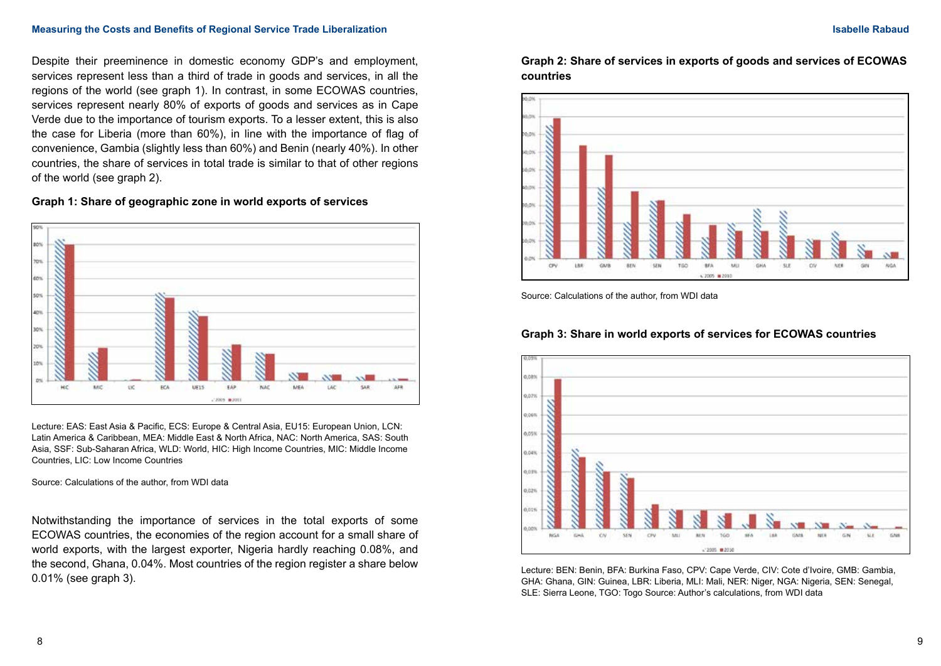Despite their preeminence in domestic economy GDP's and employment, services represent less than a third of trade in goods and services, in all the regions of the world (see graph 1). In contrast, in some ECOWAS countries, services represent nearly 80% of exports of goods and services as in Cape Verde due to the importance of tourism exports. To a lesser extent, this is also the case for Liberia (more than 60%), in line with the importance of flag of convenience, Gambia (slightly less than 60%) and Benin (nearly 40%). In other countries, the share of services in total trade is similar to that of other regions of the world (see graph 2).

#### **Graph 1: Share of geographic zone in world exports of services**



Lecture: EAS: East Asia & Pacific, ECS: Europe & Central Asia, EU15: European Union, LCN: Latin America & Caribbean, MEA: Middle East & North Africa, NAC: North America, SAS: South Asia, SSF: Sub-Saharan Africa, WLD: World, HIC: High Income Countries, MIC: Middle Income Countries, LIC: Low Income Countries

Source: Calculations of the author, from WDI data

Notwithstanding the importance of services in the total exports of some ECOWAS countries, the economies of the region account for a small share of world exports, with the largest exporter, Nigeria hardly reaching 0.08%, and the second, Ghana, 0.04%. Most countries of the region register a share below 0.01% (see graph 3).





Source: Calculations of the author, from WDI data

#### **Graph 3: Share in world exports of services for ECOWAS countries**



Lecture: BEN: Benin, BFA: Burkina Faso, CPV: Cape Verde, CIV: Cote d'Ivoire, GMB: Gambia, GHA: Ghana, GIN: Guinea, LBR: Liberia, MLI: Mali, NER: Niger, NGA: Nigeria, SEN: Senegal, SLE: Sierra Leone, TGO: Togo Source: Author's calculations, from WDI data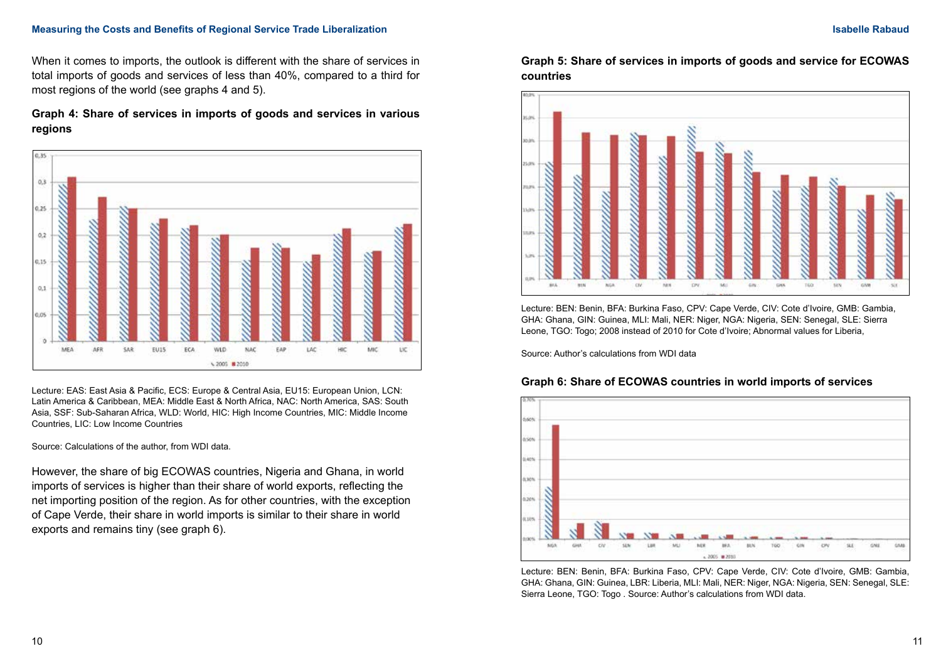#### **Measuring the Costs and Benefits of Regional Service Trade Liberalization**

When it comes to imports, the outlook is different with the share of services in total imports of goods and services of less than 40%, compared to a third for most regions of the world (see graphs 4 and 5).

#### **Graph 4: Share of services in imports of goods and services in various regions**



Lecture: EAS: East Asia & Pacific, ECS: Europe & Central Asia, EU15: European Union, LCN: Latin America & Caribbean, MEA: Middle East & North Africa, NAC: North America, SAS: South Asia, SSF: Sub-Saharan Africa, WLD: World, HIC: High Income Countries, MIC: Middle Income Countries, LIC: Low Income Countries

Source: Calculations of the author, from WDI data.

However, the share of big ECOWAS countries, Nigeria and Ghana, in world imports of services is higher than their share of world exports, reflecting the net importing position of the region. As for other countries, with the exception of Cape Verde, their share in world imports is similar to their share in world exports and remains tiny (see graph 6).

**Graph 5: Share of services in imports of goods and service for ECOWAS countries**



Lecture: BEN: Benin, BFA: Burkina Faso, CPV: Cape Verde, CIV: Cote d'Ivoire, GMB: Gambia, GHA: Ghana, GIN: Guinea, MLI: Mali, NER: Niger, NGA: Nigeria, SEN: Senegal, SLE: Sierra Leone, TGO: Togo; 2008 instead of 2010 for Cote d'Ivoire; Abnormal values for Liberia,

Source: Author's calculations from WDI data

#### **Graph 6: Share of ECOWAS countries in world imports of services**



Lecture: BEN: Benin, BFA: Burkina Faso, CPV: Cape Verde, CIV: Cote d'Ivoire, GMB: Gambia, GHA: Ghana, GIN: Guinea, LBR: Liberia, MLI: Mali, NER: Niger, NGA: Nigeria, SEN: Senegal, SLE: Sierra Leone, TGO: Togo . Source: Author's calculations from WDI data.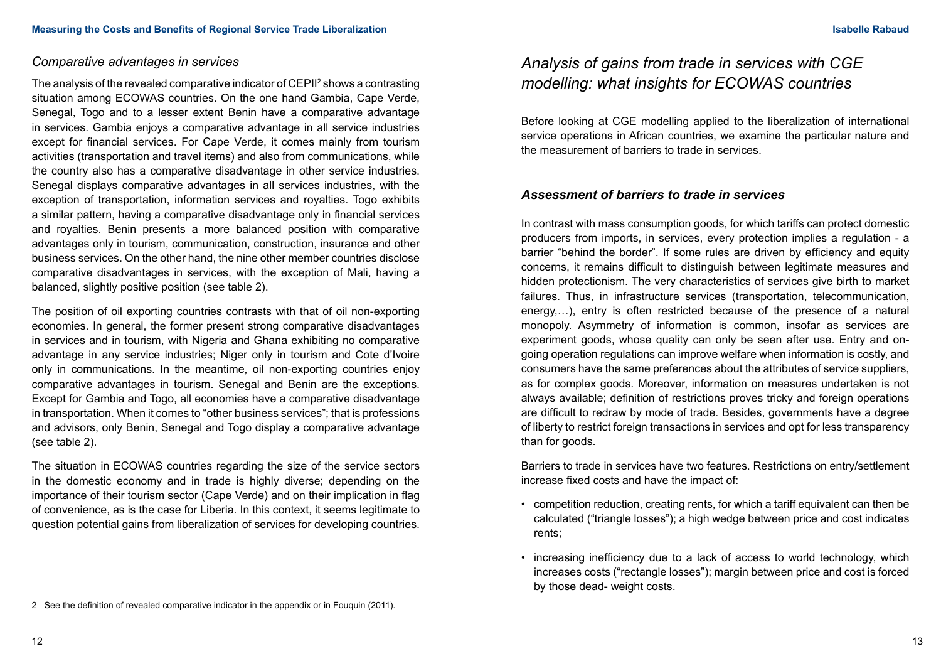#### *Comparative advantages in services*

The analysis of the revealed comparative indicator of CEPII<sup>2</sup> shows a contrasting situation among ECOWAS countries. On the one hand Gambia, Cape Verde, Senegal, Togo and to a lesser extent Benin have a comparative advantage in services. Gambia enjoys a comparative advantage in all service industries except for financial services. For Cape Verde, it comes mainly from tourism activities (transportation and travel items) and also from communications, while the country also has a comparative disadvantage in other service industries. Senegal displays comparative advantages in all services industries, with the exception of transportation, information services and royalties. Togo exhibits a similar pattern, having a comparative disadvantage only in financial services and royalties. Benin presents a more balanced position with comparative advantages only in tourism, communication, construction, insurance and other business services. On the other hand, the nine other member countries disclose comparative disadvantages in services, with the exception of Mali, having a balanced, slightly positive position (see table 2).

The position of oil exporting countries contrasts with that of oil non-exporting economies. In general, the former present strong comparative disadvantages in services and in tourism, with Nigeria and Ghana exhibiting no comparative advantage in any service industries; Niger only in tourism and Cote d'Ivoire only in communications. In the meantime, oil non-exporting countries enjoy comparative advantages in tourism. Senegal and Benin are the exceptions. Except for Gambia and Togo, all economies have a comparative disadvantage in transportation. When it comes to "other business services"; that is professions and advisors, only Benin, Senegal and Togo display a comparative advantage (see table 2).

The situation in ECOWAS countries regarding the size of the service sectors in the domestic economy and in trade is highly diverse; depending on the importance of their tourism sector (Cape Verde) and on their implication in flag of convenience, as is the case for Liberia. In this context, it seems legitimate to question potential gains from liberalization of services for developing countries.

# *Analysis of gains from trade in services with CGE modelling: what insights for ECOWAS countries*

Before looking at CGE modelling applied to the liberalization of international service operations in African countries, we examine the particular nature and the measurement of barriers to trade in services.

#### *Assessment of barriers to trade in services*

In contrast with mass consumption goods, for which tariffs can protect domestic producers from imports, in services, every protection implies a regulation - a barrier "behind the border". If some rules are driven by efficiency and equity concerns, it remains difficult to distinguish between legitimate measures and hidden protectionism. The very characteristics of services give birth to market failures. Thus, in infrastructure services (transportation, telecommunication, energy,…), entry is often restricted because of the presence of a natural monopoly. Asymmetry of information is common, insofar as services are experiment goods, whose quality can only be seen after use. Entry and ongoing operation regulations can improve welfare when information is costly, and consumers have the same preferences about the attributes of service suppliers, as for complex goods. Moreover, information on measures undertaken is not always available; definition of restrictions proves tricky and foreign operations are difficult to redraw by mode of trade. Besides, governments have a degree of liberty to restrict foreign transactions in services and opt for less transparency than for goods.

Barriers to trade in services have two features. Restrictions on entry/settlement increase fixed costs and have the impact of:

- competition reduction, creating rents, for which a tariff equivalent can then be calculated ("triangle losses"); a high wedge between price and cost indicates rents;
- increasing inefficiency due to a lack of access to world technology, which increases costs ("rectangle losses"); margin between price and cost is forced by those dead- weight costs.

<sup>2</sup> See the definition of revealed comparative indicator in the appendix or in Fouquin (2011).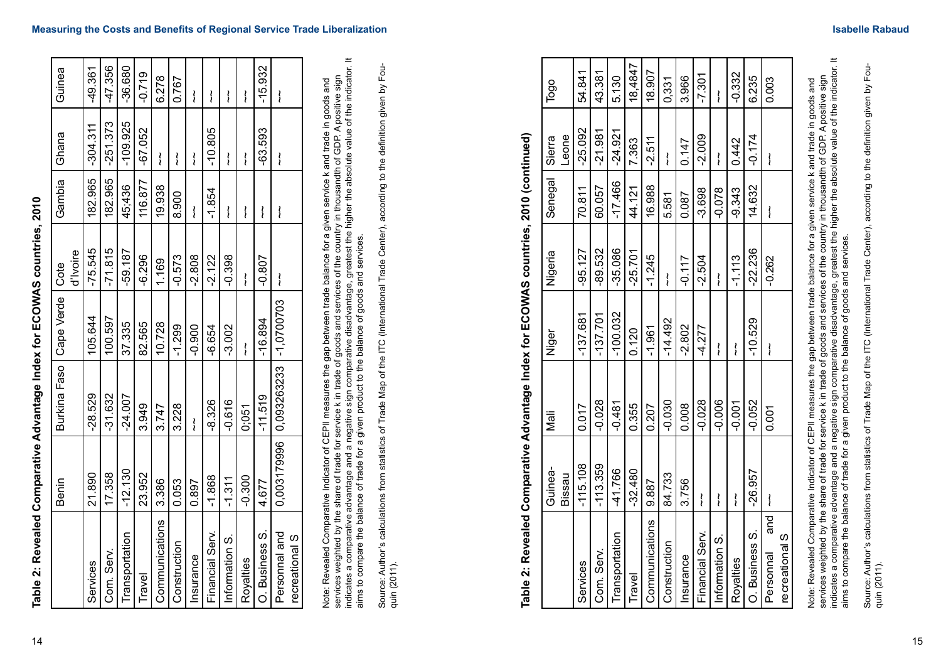| ;<br>;<br>)<br> <br> <br>Ĵ                                    |
|---------------------------------------------------------------|
| ֧֧֧֧֧֧֧֧֧֧֧֪֧֧֪֧֧֧֪֧֧֧֧֧֚֟֓֝֝֟֓֝֟֓֟֓֝֬֝֓֝֬֝֬֝֬֝֬֝֬֝֬֝֬֟֓֬֝֬֝֬ |
| i                                                             |
| ;<br>;<br>;                                                   |
|                                                               |
| i<br>!<br>į                                                   |

|                 | Benin       | Burkina Faso   Cape Verde |               | <b>Cote</b> | Gambia   | Ghana      | Guinea    |
|-----------------|-------------|---------------------------|---------------|-------------|----------|------------|-----------|
|                 |             |                           |               | d'Ivoire    |          |            |           |
| Services        | 21.890      | $-28.529$                 | 105.644       | $-75.545$   | 182.965  | $-304.311$ | $-49.361$ |
| Com. Serv.      | 17.358      | $-31.632$                 | 100.597       | $-71.815$   | 182.965  | $-251.373$ | -47.356   |
| Transportation  | $-12.130$   | $-24.007$                 | 37.335        | $-59.187$   | 45;436   | $-109.925$ | -36.680   |
| Travel          | 23.952      | 3.949                     | 82.565        | -6.296      | 116.877  | $-67.052$  | $-0.719$  |
| Communications  | 3.386       | 3.747                     | 10.728        | 1.169       | 19.938   | ļ          | 6.278     |
| Construction    | 0.053       | 3.228                     | $-1.299$      | $-0.573$    | 8.900    | ∤          | 0.767     |
| Insurance       | 0.897       | ∤                         | $-0.900$      | $-2.808$    | ∤        | ļ          | ļ         |
| Financial Serv. | $-1.868$    | -8.326                    | $-6.654$      | $-2.122$    | $-1.854$ | $-10.805$  | ∤         |
| Information S.  | $-1.311$    | $-0.616$                  | $-3.002$      | $-0.398$    | ∤        | ∤          | ∤         |
| Royalties       | $-0.300$    | 0.051                     | ∤             | ļ           | ∤        | ļ          | ∤         |
| O. Business S.  | 4.677       | $-11.519$                 | $-16.894$     | $-0.807$    | ş        | -63.593    | $-15.932$ |
| Personnal and   | 0,003179996 | 0,093263233               | $ -1,0700703$ | ļ           | ∤        | ļ          | ļ         |
| recreational S  |             |                           |               |             |          |            |           |
|                 |             |                           |               |             |          |            |           |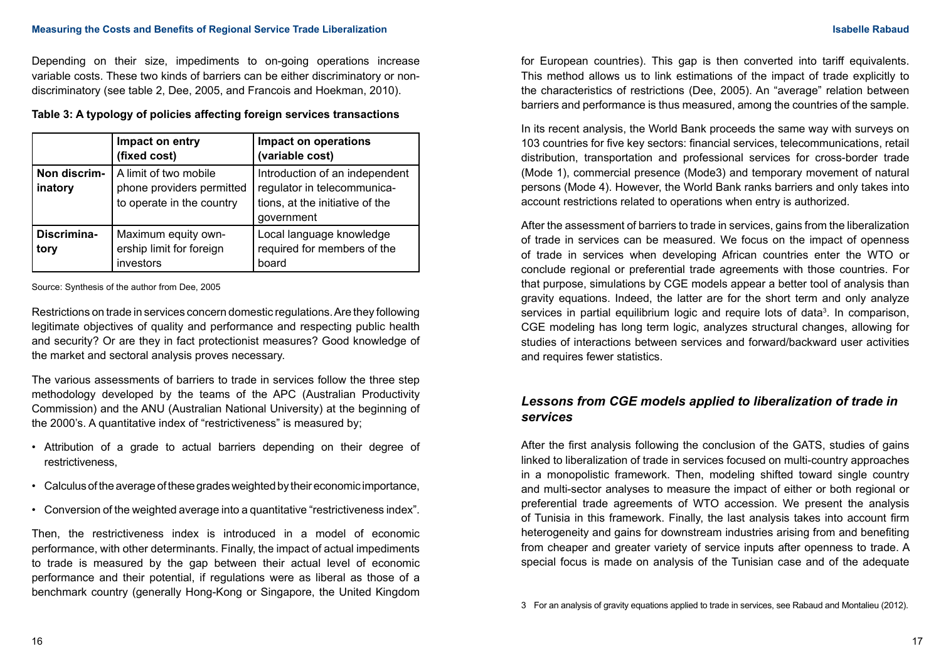Depending on their size, impediments to on-going operations increase variable costs. These two kinds of barriers can be either discriminatory or nondiscriminatory (see table 2, Dee, 2005, and Francois and Hoekman, 2010).

|                         | Impact on entry<br>(fixed cost)                                                 | Impact on operations<br>(variable cost)                                                                        |
|-------------------------|---------------------------------------------------------------------------------|----------------------------------------------------------------------------------------------------------------|
| Non discrim-<br>inatory | A limit of two mobile<br>phone providers permitted<br>to operate in the country | Introduction of an independent<br>regulator in telecommunica-<br>tions, at the initiative of the<br>government |
| Discrimina-<br>tory     | Maximum equity own-<br>ership limit for foreign<br>investors                    | Local language knowledge<br>required for members of the<br>board                                               |

**Table 3: A typology of policies affecting foreign services transactions**

Source: Synthesis of the author from Dee, 2005

Restrictions on trade in services concern domestic regulations. Are they following legitimate objectives of quality and performance and respecting public health and security? Or are they in fact protectionist measures? Good knowledge of the market and sectoral analysis proves necessary.

The various assessments of barriers to trade in services follow the three step methodology developed by the teams of the APC (Australian Productivity Commission) and the ANU (Australian National University) at the beginning of the 2000's. A quantitative index of "restrictiveness" is measured by;

- Attribution of a grade to actual barriers depending on their degree of restrictiveness,
- Calculus of the average of these grades weighted by their economic importance,
- Conversion of the weighted average into a quantitative "restrictiveness index".

Then, the restrictiveness index is introduced in a model of economic performance, with other determinants. Finally, the impact of actual impediments to trade is measured by the gap between their actual level of economic performance and their potential, if regulations were as liberal as those of a benchmark country (generally Hong-Kong or Singapore, the United Kingdom

for European countries). This gap is then converted into tariff equivalents. This method allows us to link estimations of the impact of trade explicitly to the characteristics of restrictions (Dee, 2005). An "average" relation between barriers and performance is thus measured, among the countries of the sample.

In its recent analysis, the World Bank proceeds the same way with surveys on 103 countries for five key sectors: financial services, telecommunications, retail distribution, transportation and professional services for cross-border trade (Mode 1), commercial presence (Mode3) and temporary movement of natural persons (Mode 4). However, the World Bank ranks barriers and only takes into account restrictions related to operations when entry is authorized.

After the assessment of barriers to trade in services, gains from the liberalization of trade in services can be measured. We focus on the impact of openness of trade in services when developing African countries enter the WTO or conclude regional or preferential trade agreements with those countries. For that purpose, simulations by CGE models appear a better tool of analysis than gravity equations. Indeed, the latter are for the short term and only analyze services in partial equilibrium logic and require lots of data<sup>3</sup>. In comparison, CGE modeling has long term logic, analyzes structural changes, allowing for studies of interactions between services and forward/backward user activities and requires fewer statistics.

## *Lessons from CGE models applied to liberalization of trade in services*

After the first analysis following the conclusion of the GATS, studies of gains linked to liberalization of trade in services focused on multi-country approaches in a monopolistic framework. Then, modeling shifted toward single country and multi-sector analyses to measure the impact of either or both regional or preferential trade agreements of WTO accession. We present the analysis of Tunisia in this framework. Finally, the last analysis takes into account firm heterogeneity and gains for downstream industries arising from and benefiting from cheaper and greater variety of service inputs after openness to trade. A special focus is made on analysis of the Tunisian case and of the adequate

<sup>3</sup> For an analysis of gravity equations applied to trade in services, see Rabaud and Montalieu (2012).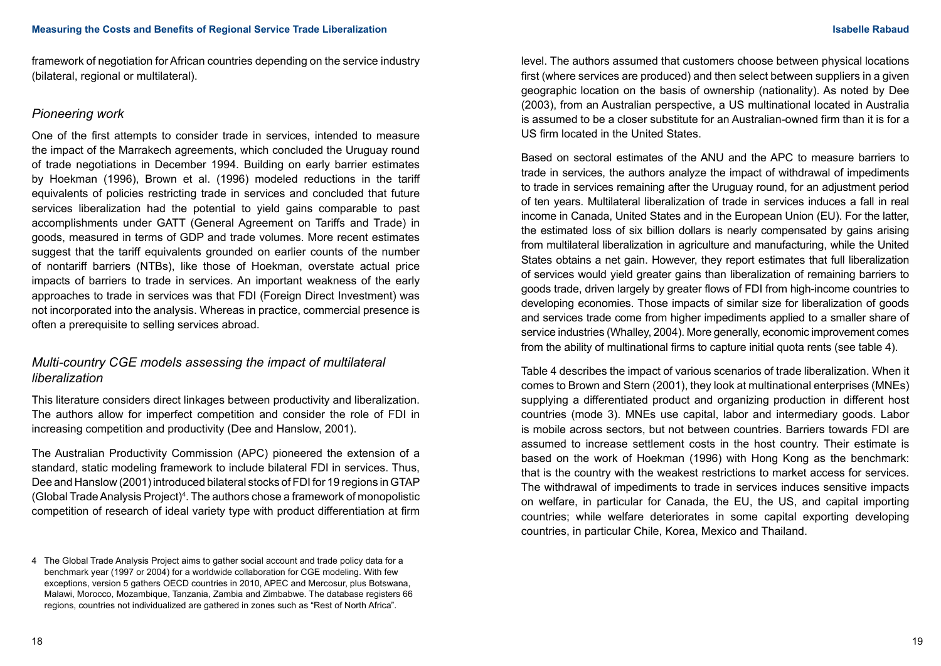framework of negotiation for African countries depending on the service industry (bilateral, regional or multilateral).

#### *Pioneering work*

One of the first attempts to consider trade in services, intended to measure the impact of the Marrakech agreements, which concluded the Uruguay round of trade negotiations in December 1994. Building on early barrier estimates by Hoekman (1996), Brown et al. (1996) modeled reductions in the tariff equivalents of policies restricting trade in services and concluded that future services liberalization had the potential to yield gains comparable to past accomplishments under GATT (General Agreement on Tariffs and Trade) in goods, measured in terms of GDP and trade volumes. More recent estimates suggest that the tariff equivalents grounded on earlier counts of the number of nontariff barriers (NTBs), like those of Hoekman, overstate actual price impacts of barriers to trade in services. An important weakness of the early approaches to trade in services was that FDI (Foreign Direct Investment) was not incorporated into the analysis. Whereas in practice, commercial presence is often a prerequisite to selling services abroad.

#### *Multi-country CGE models assessing the impact of multilateral liberalization*

This literature considers direct linkages between productivity and liberalization. The authors allow for imperfect competition and consider the role of FDI in increasing competition and productivity (Dee and Hanslow, 2001).

The Australian Productivity Commission (APC) pioneered the extension of a standard, static modeling framework to include bilateral FDI in services. Thus, Dee and Hanslow (2001) introduced bilateral stocks of FDI for 19 regions in GTAP (Global Trade Analysis Project)4 . The authors chose a framework of monopolistic competition of research of ideal variety type with product differentiation at firm

level. The authors assumed that customers choose between physical locations first (where services are produced) and then select between suppliers in a given geographic location on the basis of ownership (nationality). As noted by Dee (2003), from an Australian perspective, a US multinational located in Australia is assumed to be a closer substitute for an Australian-owned firm than it is for a US firm located in the United States.

Based on sectoral estimates of the ANU and the APC to measure barriers to trade in services, the authors analyze the impact of withdrawal of impediments to trade in services remaining after the Uruguay round, for an adjustment period of ten years. Multilateral liberalization of trade in services induces a fall in real income in Canada, United States and in the European Union (EU). For the latter, the estimated loss of six billion dollars is nearly compensated by gains arising from multilateral liberalization in agriculture and manufacturing, while the United States obtains a net gain. However, they report estimates that full liberalization of services would yield greater gains than liberalization of remaining barriers to goods trade, driven largely by greater flows of FDI from high-income countries to developing economies. Those impacts of similar size for liberalization of goods and services trade come from higher impediments applied to a smaller share of service industries (Whalley, 2004). More generally, economic improvement comes from the ability of multinational firms to capture initial quota rents (see table 4).

Table 4 describes the impact of various scenarios of trade liberalization. When it comes to Brown and Stern (2001), they look at multinational enterprises (MNEs) supplying a differentiated product and organizing production in different host countries (mode 3). MNEs use capital, labor and intermediary goods. Labor is mobile across sectors, but not between countries. Barriers towards FDI are assumed to increase settlement costs in the host country. Their estimate is based on the work of Hoekman (1996) with Hong Kong as the benchmark: that is the country with the weakest restrictions to market access for services. The withdrawal of impediments to trade in services induces sensitive impacts on welfare, in particular for Canada, the EU, the US, and capital importing countries; while welfare deteriorates in some capital exporting developing countries, in particular Chile, Korea, Mexico and Thailand.

<sup>4</sup> The Global Trade Analysis Project aims to gather social account and trade policy data for a benchmark year (1997 or 2004) for a worldwide collaboration for CGE modeling. With few exceptions, version 5 gathers OECD countries in 2010, APEC and Mercosur, plus Botswana, Malawi, Morocco, Mozambique, Tanzania, Zambia and Zimbabwe. The database registers 66 regions, countries not individualized are gathered in zones such as "Rest of North Africa".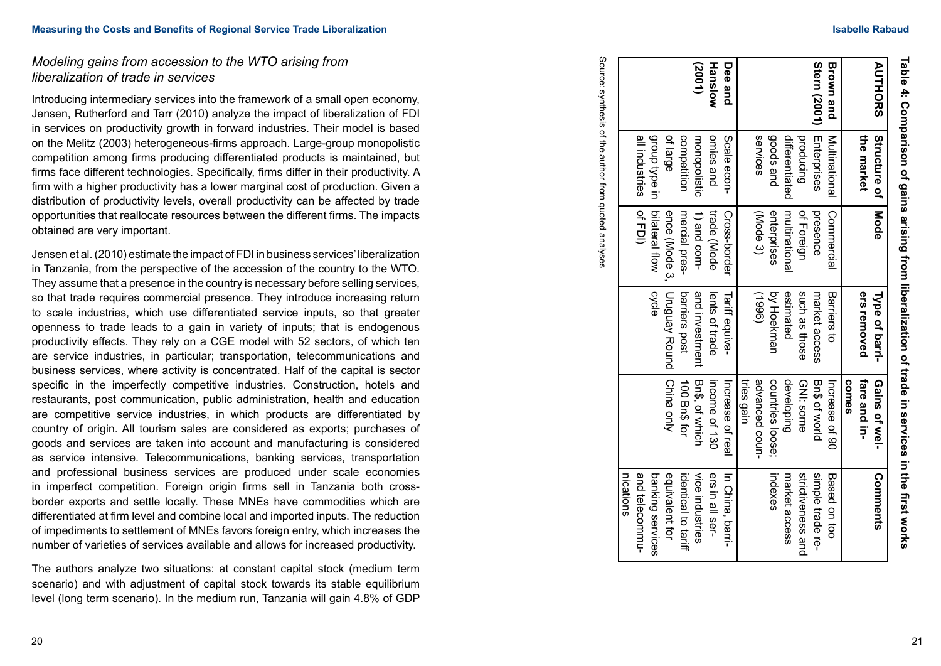# *Modeling gains from accession to the WTO arising from liberalization of trade in services*

Introducing intermediary services into the framework of a small open economy, Jensen, Rutherford and Tarr (2010) analyze the impact of liberalization of FDI in services on productivity growth in forward industries. Their model is based on the Melitz (2003) heterogeneous-firms approach. Large-group monopolistic competition among firms producing differentiated products is maintained, but firms face different technologies. Specifically, firms differ in their productivity. A firm with a higher productivity has a lower marginal cost of production. Given a distribution of productivity levels, overall productivity can be affected by trade opportunities that reallocate resources between the different firms. The impacts obtained are very important.

Jensen et al. (2010) estimate the impact of FDI in business services' liberalization in Tanzania, from the perspective of the accession of the country to the WTO. They assume that a presence in the country is necessary before selling services, so that trade requires commercial presence. They introduce increasing return to scale industries, which use differentiated service inputs, so that greater openness to trade leads to a gain in variety of inputs; that is endogenous productivity effects. They rely on a CGE model with 52 sectors, of which ten are service industries, in particular; transportation, telecommunications and business services, where activity is concentrated. Half of the capital is sector specific in the imperfectly competitive industries. Construction, hotels and restaurants, post communication, public administration, health and education are competitive service industries, in which products are differentiated by country of origin. All tourism sales are considered as exports; purchases of goods and services are taken into account and manufacturing is considered as service intensive. Telecommunications, banking services, transportation and professional business services are produced under scale economies in imperfect competition. Foreign origin firms sell in Tanzania both crossborder exports and settle locally. These MNEs have commodities which are differentiated at firm level and combine local and imported inputs. The reduction of impediments to settlement of MNEs favors foreign entry, which increases the number of varieties of services available and allows for increased productivity.

The authors analyze two situations: at constant capital stock (medium term scenario) and with adjustment of capital stock towards its stable equilibrium level (long term scenario). In the medium run, Tanzania will gain 4.8% of GDP Source: synthesis Source: synthesis of the author from quoted analyses  $\Omega$  $\frac{1}{5}$ author from quoted analyses

| <b>AUTHORS</b>      | Structure of   | Mode           | Type of barri-       | Gains of wel-         | Comments            |
|---------------------|----------------|----------------|----------------------|-----------------------|---------------------|
|                     | the market     |                | ers removed          | fare and in-<br>comes |                     |
| <b>Brown and</b>    | Multinational  | Commercia      | Barriers to          | Increase of 90        | Based on too        |
| <b>Stern (2001)</b> | Enterprises    | presence       | market access        | Bn\$ of world         | simple trade re-    |
|                     | producing      | of Foreign     | such as those        | <b>GNI: some</b>      | strictiveness and   |
|                     | differentiated | multinational  | estimated            | developing            | market access       |
|                     | goog and       | enterprises    | by Hoekman           | countries loose;      | indexes             |
|                     | services       | (Mode 3)       | (966)                | advanced coun-        |                     |
|                     |                |                |                      | tries gain            |                     |
| Dee and             | Scale econ-    | Cross-border   | Tariff equiva-       | Increase of real      | In China, barri-    |
| Hanslow             | omies and      | trade (Mode    | lents of trade       | income of 130         | ers in all ser-     |
| (2001)              | monopolistic   | 1) and com-    | and investment       | Bn\$, of which        | vice industries     |
|                     | competition    | mercial pres-  | barriers<br>post     | 100 Bn\$ for          | identical to tariff |
|                     | of large       | ence (Mode 3,  | <b>Uruguay Round</b> | China only            | equivalent for      |
|                     | group type in  | bilateral flow | cycle                |                       | banking services    |
|                     | all industries | of FDI)        |                      |                       | and telecommu-      |
|                     |                |                |                      |                       | nications           |
|                     |                |                |                      |                       |                     |

**Table 4: Comparison of gains arising from liberalization of trade in services in the first works**

Table 4: Comparison of gains arising from liberalization of trade in services in the first works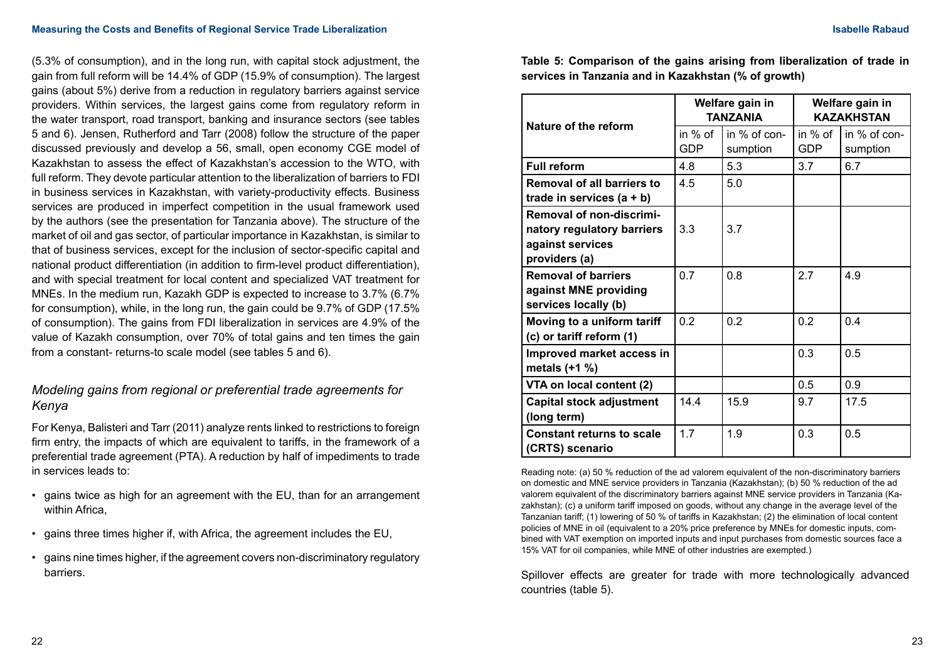#### **Measuring the Costs and Benefits of Regional Service Trade Liberalization Isabelle Rabaud**

(5.3% of consumption), and in the long run, with capital stock adjustment, the gain from full reform will be 14.4% of GDP (15.9% of consumption). The largest gains (about 5%) derive from a reduction in regulatory barriers against service providers. Within services, the largest gains come from regulatory reform in the water transport, road transport, banking and insurance sectors (see tables 5 and 6). Jensen, Rutherford and Tarr (2008) follow the structure of the paper discussed previously and develop a 56, small, open economy CGE model of Kazakhstan to assess the effect of Kazakhstan's accession to the WTO, with full reform. They devote particular attention to the liberalization of barriers to FDI in business services in Kazakhstan, with variety-productivity effects. Business services are produced in imperfect competition in the usual framework used by the authors (see the presentation for Tanzania above). The structure of the market of oil and gas sector, of particular importance in Kazakhstan, is similar to that of business services, except for the inclusion of sector-specific capital and national product differentiation (in addition to firm-level product differentiation), and with special treatment for local content and specialized VAT treatment for MNEs. In the medium run, Kazakh GDP is expected to increase to 3.7% (6.7% for consumption), while, in the long run, the gain could be 9.7% of GDP (17.5% of consumption). The gains from FDI liberalization in services are 4.9% of the value of Kazakh consumption, over 70% of total gains and ten times the gain from a constant- returns-to scale model (see tables 5 and 6).

#### *Modeling gains from regional or preferential trade agreements for Kenya*

For Kenya, Balisteri and Tarr (2011) analyze rents linked to restrictions to foreign firm entry, the impacts of which are equivalent to tariffs, in the framework of a preferential trade agreement (PTA). A reduction by half of impediments to trade in services leads to:

- gains twice as high for an agreement with the EU, than for an arrangement within Africa,
- gains three times higher if, with Africa, the agreement includes the EU,
- gains nine times higher, if the agreement covers non-discriminatory regulatory barriers.

**Table 5: Comparison of the gains arising from liberalization of trade in services in Tanzania and in Kazakhstan (% of growth)**

| Nature of the reform                                                                        |                       | Welfare gain in<br><b>TANZANIA</b> |                         | Welfare gain in<br><b>KAZAKHSTAN</b> |
|---------------------------------------------------------------------------------------------|-----------------------|------------------------------------|-------------------------|--------------------------------------|
|                                                                                             | in % of<br><b>GDP</b> | in $%$ of con-<br>sumption         | in $%$ of<br><b>GDP</b> | in % of con-<br>sumption             |
| <b>Full reform</b>                                                                          | 4.8                   | 5.3                                | 3.7                     | 6.7                                  |
| <b>Removal of all barriers to</b><br>trade in services $(a + b)$                            | 4.5                   | 5.0                                |                         |                                      |
| Removal of non-discrimi-<br>natory regulatory barriers<br>against services<br>providers (a) | 3.3                   | 3.7                                |                         |                                      |
| <b>Removal of barriers</b><br>against MNE providing<br>services locally (b)                 | 0.7                   | 0.8                                | 2.7                     | 4.9                                  |
| Moving to a uniform tariff<br>(c) or tariff reform (1)                                      | 0.2                   | 0.2                                | 0.2                     | 0.4                                  |
| Improved market access in<br>metals $(+1%)$                                                 |                       |                                    | 0.3                     | 0.5                                  |
| VTA on local content (2)                                                                    |                       |                                    | 0.5                     | 0.9                                  |
| <b>Capital stock adjustment</b><br>(long term)                                              | 14.4                  | 15.9                               | 9.7                     | 17.5                                 |
| <b>Constant returns to scale</b><br>(CRTS) scenario                                         | 1.7                   | 1.9                                | 0.3                     | 0.5                                  |

Reading note: (a) 50 % reduction of the ad valorem equivalent of the non-discriminatory barriers on domestic and MNE service providers in Tanzania (Kazakhstan); (b) 50 % reduction of the ad valorem equivalent of the discriminatory barriers against MNE service providers in Tanzania (Kazakhstan); (c) a uniform tariff imposed on goods, without any change in the average level of the Tanzanian tariff; (1) lowering of 50 % of tariffs in Kazakhstan; (2) the elimination of local content policies of MNE in oil (equivalent to a 20% price preference by MNEs for domestic inputs, combined with VAT exemption on imported inputs and input purchases from domestic sources face a 15% VAT for oil companies, while MNE of other industries are exempted.)

Spillover effects are greater for trade with more technologically advanced countries (table 5).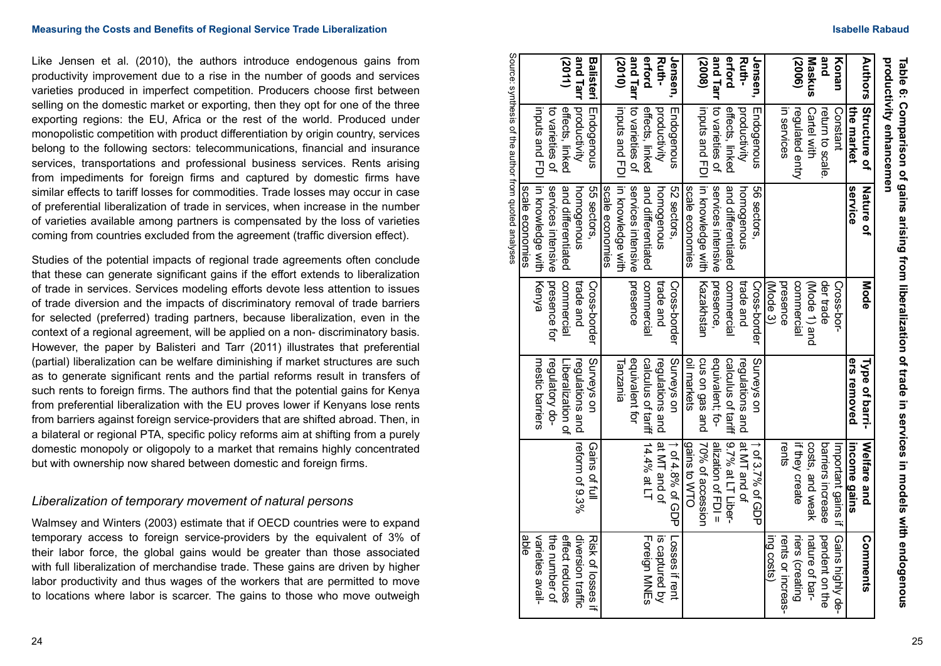Like Jensen et al. (2010), the authors introduce endogenous gains from productivity improvement due to a rise in the number of goods and services varieties produced in imperfect competition. Producers choose first between selling on the domestic market or exporting, then they opt for one of the three exporting regions: the EU, Africa or the rest of the world. Produced under monopolistic competition with product differentiation by origin country, services belong to the following sectors: telecommunications, financial and insurance services, transportations and professional business services. Rents arising from impediments for foreign firms and captured by domestic firms have similar effects to tariff losses for commodities. Trade losses may occur in case of preferential liberalization of trade in services, when increase in the number of varieties available among partners is compensated by the loss of varieties coming from countries excluded from the agreement (traffic diversion effect).

Studies of the potential impacts of regional trade agreements often conclude that these can generate significant gains if the effort extends to liberalization of trade in services. Services modeling efforts devote less attention to issues of trade diversion and the impacts of discriminatory removal of trade barriers for selected (preferred) trading partners, because liberalization, even in the context of a regional agreement, will be applied on a non- discriminatory basis. However, the paper by Balisteri and Tarr (2011) illustrates that preferential (partial) liberalization can be welfare diminishing if market structures are such as to generate significant rents and the partial reforms result in transfers of such rents to foreign firms. The authors find that the potential gains for Kenya from preferential liberalization with the EU proves lower if Kenyans lose rents from barriers against foreign service-providers that are shifted abroad. Then, in a bilateral or regional PTA, specific policy reforms aim at shifting from a purely domestic monopoly or oligopoly to a market that remains highly concentrated but with ownership now shared between domestic and foreign firms.

## *Liberalization of temporary movement of natural persons*

Walmsey and Winters (2003) estimate that if OECD countries were to expand temporary access to foreign service-providers by the equivalent of 3% of their labor force, the global gains would be greater than those associated with full liberalization of merchandise trade. These gains are driven by higher labor productivity and thus wages of the workers that are permitted to move to locations where labor is scarcer. The gains to those who move outweigh

|  |  | <b>Isabelle Rabaud</b> |
|--|--|------------------------|
|--|--|------------------------|

|                  | productivity enhancemen |                                                      |              |                    |                           |                   |
|------------------|-------------------------|------------------------------------------------------|--------------|--------------------|---------------------------|-------------------|
| <b>Authors</b>   | Structure of            | Nature of                                            | Mode         | Type of barri-     | Welfare and               | Comments          |
|                  | the market              | <b>Service</b>                                       |              | ers removed        | income gains              |                   |
| Konan            | Constant                |                                                      | Cross-bor-   |                    | inportant gains if        | Gains highly de-  |
| and              | return to scale         |                                                      | der trade    |                    | barriers increase         | pendent on the    |
| Maskus           | <b>Cartel with</b>      |                                                      | (Mode 1) and |                    | costs, and weak           | nature of bar-    |
| (2006)           | regulated entry         |                                                      | commercial   |                    | if they create            | riers (creating   |
|                  | in services             |                                                      | presence     |                    | rents                     | rents or increas- |
|                  |                         |                                                      | Mode 3)      |                    |                           | <b>Dg costs</b>   |
| Jensen,          | Endogenous              | 56 sectors                                           | Cross-border | Surveys on         | of 3.7% of GDP            |                   |
| Ruth-            | productivity            | homogenous                                           | trade and    | regulations and    | at MT and of              |                   |
| erford           | effects, linked         | and differentiated                                   | commercial   | calculus of tariff | 9.7% at LT Liber-         |                   |
| and Tarr         | to varieties of         | services intensive                                   | presence,    | equivalent; fo-    | alization of FDI =        |                   |
| (2008)           | inputs and FDI          | in knowledge with                                    | Kazakhstan   | cus on gas and     | 70% of accession          |                   |
|                  |                         | SCAIE BCONOMIES                                      |              | oil markets        | gains to WTO              |                   |
| Jensen,          | Endogenous              | 52 sectors,                                          | Cross-border | Sylveys on         | $\uparrow$ of 4.8% of GDP | Losses if rent    |
| Ruth-            | productivity            | homogenous                                           | trade and    | regulations and    | at MT and of              | is captured by    |
| erford           | effects, linked         | and differentiated                                   | commercial   | calculus of tariff | 14.4% at LT               | Foreign MNEs      |
| and Tarr         | to varieties of         | services intensive                                   | presence     | equivalent for     |                           |                   |
| (2010)           | inputs and FDI          | in knowledge with                                    |              | lanzania           |                           |                   |
|                  |                         | selle economies                                      |              |                    |                           |                   |
| <b>Balisteri</b> | Endogenous              | 55 sectors,                                          | Cross-border | Surveys on         | Gains of full             | Risk of losses if |
| and Tarr         | productivity            | homogenous                                           | trade and    | regulations and    | reform of 9.3%            | diversion traffic |
| (2011)           | effects, linked         | and differentiated                                   | commercial   | Liberalization of  |                           | effect reduces    |
|                  | to varieties of         | services intensive                                   | presence for | regulatory do-     |                           | the number of     |
|                  | inputs and FDI          | in knowledge with                                    | Kenya        | mestic barriers    |                           | varieties avail-  |
|                  |                         | selle economies                                      |              |                    |                           | aldie             |
|                  |                         | Source: synthesis of the author from quoted analyses |              |                    |                           |                   |

**Table 6: Comparison of gains arising from liberalization of trade in services in models with endogenous** 

Table 6: Comparison of gains arising from liberalization of trade in services in models with endogenous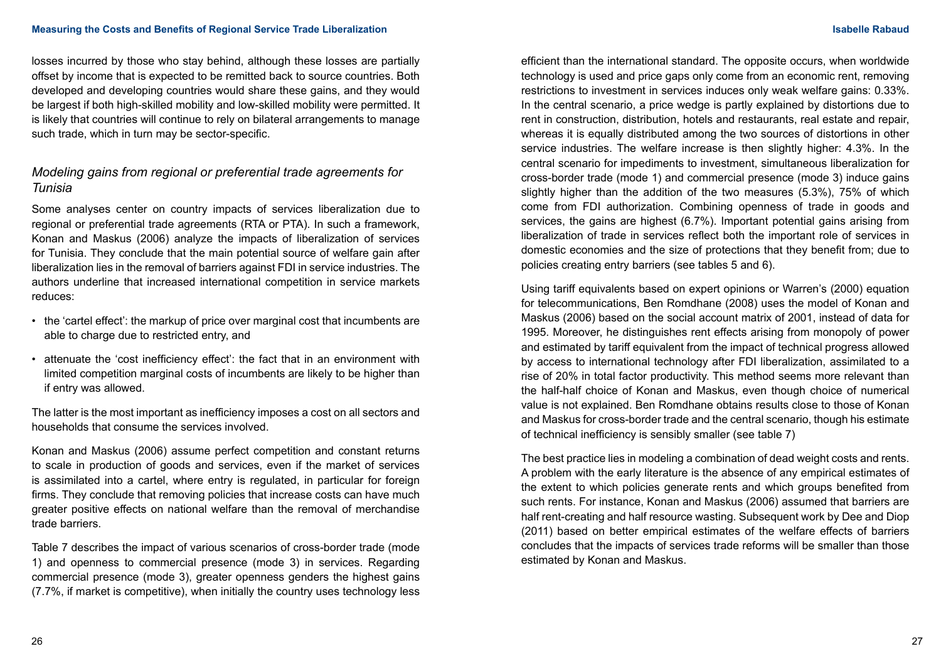losses incurred by those who stay behind, although these losses are partially offset by income that is expected to be remitted back to source countries. Both developed and developing countries would share these gains, and they would be largest if both high-skilled mobility and low-skilled mobility were permitted. It is likely that countries will continue to rely on bilateral arrangements to manage such trade, which in turn may be sector-specific.

## *Modeling gains from regional or preferential trade agreements for Tunisia*

Some analyses center on country impacts of services liberalization due to regional or preferential trade agreements (RTA or PTA). In such a framework, Konan and Maskus (2006) analyze the impacts of liberalization of services for Tunisia. They conclude that the main potential source of welfare gain after liberalization lies in the removal of barriers against FDI in service industries. The authors underline that increased international competition in service markets reduces:

- the 'cartel effect': the markup of price over marginal cost that incumbents are able to charge due to restricted entry, and
- attenuate the 'cost inefficiency effect': the fact that in an environment with limited competition marginal costs of incumbents are likely to be higher than if entry was allowed.

The latter is the most important as inefficiency imposes a cost on all sectors and households that consume the services involved.

Konan and Maskus (2006) assume perfect competition and constant returns to scale in production of goods and services, even if the market of services is assimilated into a cartel, where entry is regulated, in particular for foreign firms. They conclude that removing policies that increase costs can have much greater positive effects on national welfare than the removal of merchandise trade barriers.

Table 7 describes the impact of various scenarios of cross-border trade (mode 1) and openness to commercial presence (mode 3) in services. Regarding commercial presence (mode 3), greater openness genders the highest gains (7.7%, if market is competitive), when initially the country uses technology less

efficient than the international standard. The opposite occurs, when worldwide technology is used and price gaps only come from an economic rent, removing restrictions to investment in services induces only weak welfare gains: 0.33%. In the central scenario, a price wedge is partly explained by distortions due to rent in construction, distribution, hotels and restaurants, real estate and repair, whereas it is equally distributed among the two sources of distortions in other service industries. The welfare increase is then slightly higher: 4.3%. In the central scenario for impediments to investment, simultaneous liberalization for cross-border trade (mode 1) and commercial presence (mode 3) induce gains slightly higher than the addition of the two measures (5.3%), 75% of which come from FDI authorization. Combining openness of trade in goods and services, the gains are highest (6.7%). Important potential gains arising from liberalization of trade in services reflect both the important role of services in domestic economies and the size of protections that they benefit from; due to policies creating entry barriers (see tables 5 and 6).

Using tariff equivalents based on expert opinions or Warren's (2000) equation for telecommunications, Ben Romdhane (2008) uses the model of Konan and Maskus (2006) based on the social account matrix of 2001, instead of data for 1995. Moreover, he distinguishes rent effects arising from monopoly of power and estimated by tariff equivalent from the impact of technical progress allowed by access to international technology after FDI liberalization, assimilated to a rise of 20% in total factor productivity. This method seems more relevant than the half-half choice of Konan and Maskus, even though choice of numerical value is not explained. Ben Romdhane obtains results close to those of Konan and Maskus for cross-border trade and the central scenario, though his estimate of technical inefficiency is sensibly smaller (see table 7)

The best practice lies in modeling a combination of dead weight costs and rents. A problem with the early literature is the absence of any empirical estimates of the extent to which policies generate rents and which groups benefited from such rents. For instance, Konan and Maskus (2006) assumed that barriers are half rent-creating and half resource wasting. Subsequent work by Dee and Diop (2011) based on better empirical estimates of the welfare effects of barriers concludes that the impacts of services trade reforms will be smaller than those estimated by Konan and Maskus.

**Isabelle Rabaud**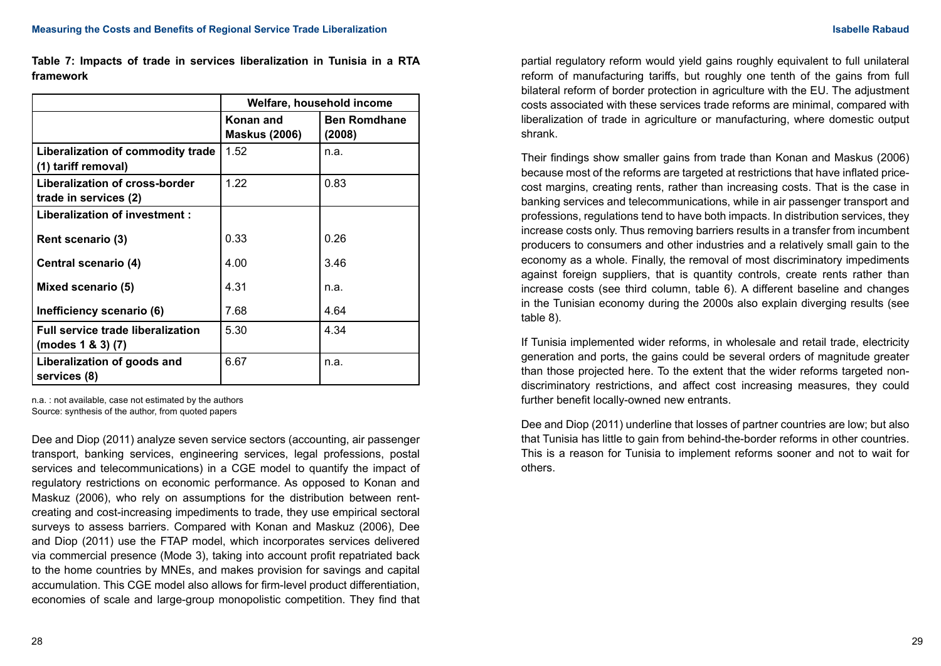**Table 7: Impacts of trade in services liberalization in Tunisia in a RTA framework**

|                                                               |                                   | Welfare, household income     |
|---------------------------------------------------------------|-----------------------------------|-------------------------------|
|                                                               | Konan and<br><b>Maskus (2006)</b> | <b>Ben Romdhane</b><br>(2008) |
| Liberalization of commodity trade<br>(1) tariff removal)      | 1.52                              | n.a.                          |
| Liberalization of cross-border<br>trade in services (2)       | 1.22                              | 0.83                          |
| Liberalization of investment :                                |                                   |                               |
| Rent scenario (3)                                             | 0.33                              | 0.26                          |
| Central scenario (4)                                          | 4.00                              | 3.46                          |
| Mixed scenario (5)                                            | 4.31                              | n.a.                          |
| Inefficiency scenario (6)                                     | 7.68                              | 4.64                          |
| <b>Full service trade liberalization</b><br>(modes 1 & 3) (7) | 5.30                              | 4.34                          |
| Liberalization of goods and<br>services (8)                   | 6.67                              | n.a.                          |

n.a. : not available, case not estimated by the authors Source: synthesis of the author, from quoted papers

Dee and Diop (2011) analyze seven service sectors (accounting, air passenger transport, banking services, engineering services, legal professions, postal services and telecommunications) in a CGE model to quantify the impact of regulatory restrictions on economic performance. As opposed to Konan and Maskuz (2006), who rely on assumptions for the distribution between rentcreating and cost-increasing impediments to trade, they use empirical sectoral surveys to assess barriers. Compared with Konan and Maskuz (2006), Dee and Diop (2011) use the FTAP model, which incorporates services delivered via commercial presence (Mode 3), taking into account profit repatriated back to the home countries by MNEs, and makes provision for savings and capital accumulation. This CGE model also allows for firm-level product differentiation, economies of scale and large-group monopolistic competition. They find that partial regulatory reform would yield gains roughly equivalent to full unilateral reform of manufacturing tariffs, but roughly one tenth of the gains from full bilateral reform of border protection in agriculture with the EU. The adjustment costs associated with these services trade reforms are minimal, compared with liberalization of trade in agriculture or manufacturing, where domestic output shrank.

Their findings show smaller gains from trade than Konan and Maskus (2006) because most of the reforms are targeted at restrictions that have inflated pricecost margins, creating rents, rather than increasing costs. That is the case in banking services and telecommunications, while in air passenger transport and professions, regulations tend to have both impacts. In distribution services, they increase costs only. Thus removing barriers results in a transfer from incumbent producers to consumers and other industries and a relatively small gain to the economy as a whole. Finally, the removal of most discriminatory impediments against foreign suppliers, that is quantity controls, create rents rather than increase costs (see third column, table 6). A different baseline and changes in the Tunisian economy during the 2000s also explain diverging results (see table 8).

If Tunisia implemented wider reforms, in wholesale and retail trade, electricity generation and ports, the gains could be several orders of magnitude greater than those projected here. To the extent that the wider reforms targeted nondiscriminatory restrictions, and affect cost increasing measures, they could further benefit locally-owned new entrants.

Dee and Diop (2011) underline that losses of partner countries are low; but also that Tunisia has little to gain from behind-the-border reforms in other countries. This is a reason for Tunisia to implement reforms sooner and not to wait for others.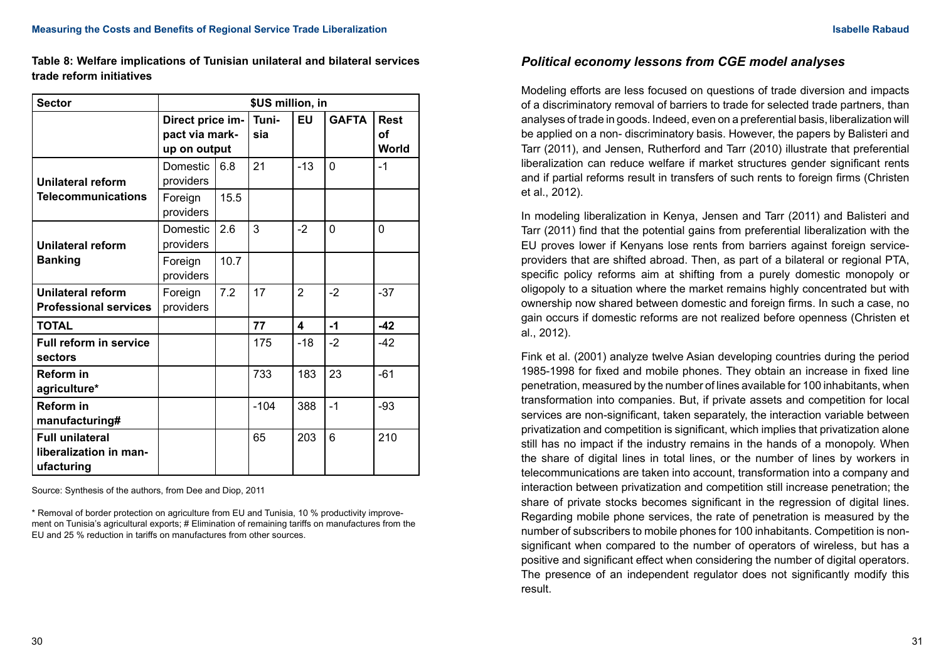**Table 8: Welfare implications of Tunisian unilateral and bilateral services trade reform initiatives**

| <b>Sector</b>                                                  |                       |      | \$US million, in |                |              |              |
|----------------------------------------------------------------|-----------------------|------|------------------|----------------|--------------|--------------|
|                                                                | Direct price im-      |      | Tuni-            | <b>EU</b>      | <b>GAFTA</b> | <b>Rest</b>  |
|                                                                | pact via mark-        |      | sia              |                |              | οf           |
|                                                                | up on output          |      |                  |                |              | <b>World</b> |
|                                                                | Domestic              | 6.8  | 21               | $-13$          | $\mathbf 0$  | $-1$         |
| <b>Unilateral reform</b>                                       | providers             |      |                  |                |              |              |
| <b>Telecommunications</b>                                      | Foreign<br>providers  | 15.5 |                  |                |              |              |
| <b>Unilateral reform</b>                                       | Domestic<br>providers | 2.6  | 3                | $-2$           | $\Omega$     | 0            |
| <b>Banking</b>                                                 | Foreign<br>providers  | 10.7 |                  |                |              |              |
| <b>Unilateral reform</b><br><b>Professional services</b>       | Foreign<br>providers  | 7.2  | 17               | $\overline{2}$ | $-2$         | $-37$        |
| <b>TOTAL</b>                                                   |                       |      | 77               | 4              | $-1$         | $-42$        |
| <b>Full reform in service</b><br>sectors                       |                       |      | 175              | $-18$          | $-2$         | $-42$        |
| <b>Reform</b> in<br>agriculture*                               |                       |      | 733              | 183            | 23           | $-61$        |
| <b>Reform</b> in<br>manufacturing#                             |                       |      | $-104$           | 388            | $-1$         | $-93$        |
| <b>Full unilateral</b><br>liberalization in man-<br>ufacturing |                       |      | 65               | 203            | 6            | 210          |

Source: Synthesis of the authors, from Dee and Diop, 2011

\* Removal of border protection on agriculture from EU and Tunisia, 10 % productivity improvement on Tunisia's agricultural exports; # Elimination of remaining tariffs on manufactures from the EU and 25 % reduction in tariffs on manufactures from other sources.

#### *Political economy lessons from CGE model analyses*

Modeling efforts are less focused on questions of trade diversion and impacts of a discriminatory removal of barriers to trade for selected trade partners, than analyses of trade in goods. Indeed, even on a preferential basis, liberalization will be applied on a non- discriminatory basis. However, the papers by Balisteri and Tarr (2011), and Jensen, Rutherford and Tarr (2010) illustrate that preferential liberalization can reduce welfare if market structures gender significant rents and if partial reforms result in transfers of such rents to foreign firms (Christen et al., 2012).

In modeling liberalization in Kenya, Jensen and Tarr (2011) and Balisteri and Tarr (2011) find that the potential gains from preferential liberalization with the EU proves lower if Kenyans lose rents from barriers against foreign serviceproviders that are shifted abroad. Then, as part of a bilateral or regional PTA, specific policy reforms aim at shifting from a purely domestic monopoly or oligopoly to a situation where the market remains highly concentrated but with ownership now shared between domestic and foreign firms. In such a case, no gain occurs if domestic reforms are not realized before openness (Christen et al., 2012).

Fink et al. (2001) analyze twelve Asian developing countries during the period 1985-1998 for fixed and mobile phones. They obtain an increase in fixed line penetration, measured by the number of lines available for 100 inhabitants, when transformation into companies. But, if private assets and competition for local services are non-significant, taken separately, the interaction variable between privatization and competition is significant, which implies that privatization alone still has no impact if the industry remains in the hands of a monopoly. When the share of digital lines in total lines, or the number of lines by workers in telecommunications are taken into account, transformation into a company and interaction between privatization and competition still increase penetration; the share of private stocks becomes significant in the regression of digital lines. Regarding mobile phone services, the rate of penetration is measured by the number of subscribers to mobile phones for 100 inhabitants. Competition is nonsignificant when compared to the number of operators of wireless, but has a positive and significant effect when considering the number of digital operators. The presence of an independent regulator does not significantly modify this result.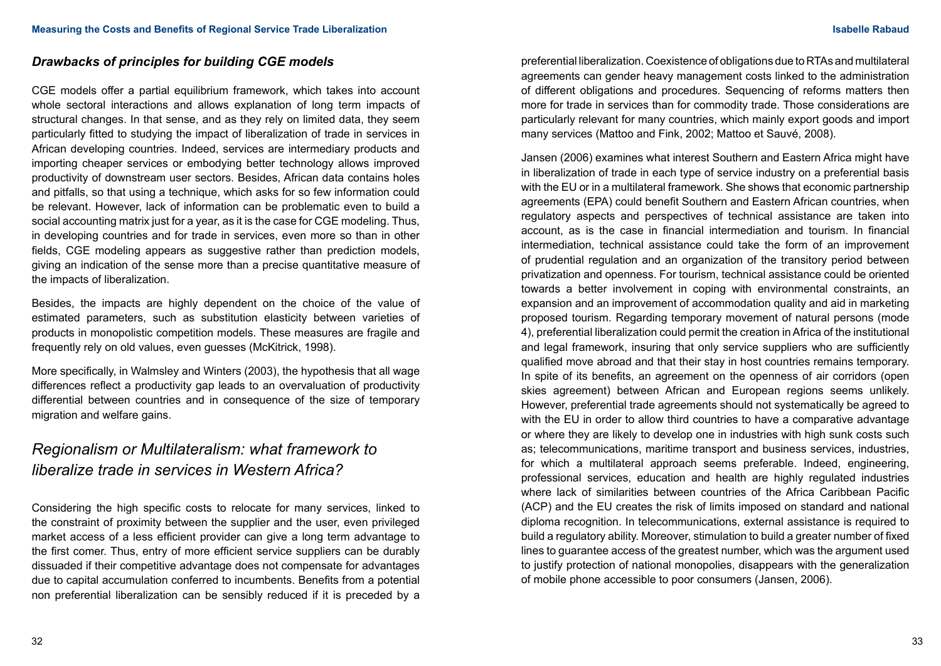## *Drawbacks of principles for building CGE models*

CGE models offer a partial equilibrium framework, which takes into account whole sectoral interactions and allows explanation of long term impacts of structural changes. In that sense, and as they rely on limited data, they seem particularly fitted to studying the impact of liberalization of trade in services in African developing countries. Indeed, services are intermediary products and importing cheaper services or embodying better technology allows improved productivity of downstream user sectors. Besides, African data contains holes and pitfalls, so that using a technique, which asks for so few information could be relevant. However, lack of information can be problematic even to build a social accounting matrix just for a year, as it is the case for CGE modeling. Thus, in developing countries and for trade in services, even more so than in other fields, CGE modeling appears as suggestive rather than prediction models, giving an indication of the sense more than a precise quantitative measure of the impacts of liberalization.

Besides, the impacts are highly dependent on the choice of the value of estimated parameters, such as substitution elasticity between varieties of products in monopolistic competition models. These measures are fragile and frequently rely on old values, even guesses (McKitrick, 1998).

More specifically, in Walmsley and Winters (2003), the hypothesis that all wage differences reflect a productivity gap leads to an overvaluation of productivity differential between countries and in consequence of the size of temporary migration and welfare gains.

# *Regionalism or Multilateralism: what framework to liberalize trade in services in Western Africa?*

Considering the high specific costs to relocate for many services, linked to the constraint of proximity between the supplier and the user, even privileged market access of a less efficient provider can give a long term advantage to the first comer. Thus, entry of more efficient service suppliers can be durably dissuaded if their competitive advantage does not compensate for advantages due to capital accumulation conferred to incumbents. Benefits from a potential non preferential liberalization can be sensibly reduced if it is preceded by a

preferential liberalization. Coexistence of obligations due to RTAs and multilateral agreements can gender heavy management costs linked to the administration of different obligations and procedures. Sequencing of reforms matters then more for trade in services than for commodity trade. Those considerations are particularly relevant for many countries, which mainly export goods and import many services (Mattoo and Fink, 2002; Mattoo et Sauvé, 2008).

Jansen (2006) examines what interest Southern and Eastern Africa might have in liberalization of trade in each type of service industry on a preferential basis with the EU or in a multilateral framework. She shows that economic partnership agreements (EPA) could benefit Southern and Eastern African countries, when regulatory aspects and perspectives of technical assistance are taken into account, as is the case in financial intermediation and tourism. In financial intermediation, technical assistance could take the form of an improvement of prudential regulation and an organization of the transitory period between privatization and openness. For tourism, technical assistance could be oriented towards a better involvement in coping with environmental constraints, an expansion and an improvement of accommodation quality and aid in marketing proposed tourism. Regarding temporary movement of natural persons (mode 4), preferential liberalization could permit the creation in Africa of the institutional and legal framework, insuring that only service suppliers who are sufficiently qualified move abroad and that their stay in host countries remains temporary. In spite of its benefits, an agreement on the openness of air corridors (open skies agreement) between African and European regions seems unlikely. However, preferential trade agreements should not systematically be agreed to with the EU in order to allow third countries to have a comparative advantage or where they are likely to develop one in industries with high sunk costs such as; telecommunications, maritime transport and business services, industries, for which a multilateral approach seems preferable. Indeed, engineering, professional services, education and health are highly regulated industries where lack of similarities between countries of the Africa Caribbean Pacific (ACP) and the EU creates the risk of limits imposed on standard and national diploma recognition. In telecommunications, external assistance is required to build a regulatory ability. Moreover, stimulation to build a greater number of fixed lines to guarantee access of the greatest number, which was the argument used to justify protection of national monopolies, disappears with the generalization of mobile phone accessible to poor consumers (Jansen, 2006).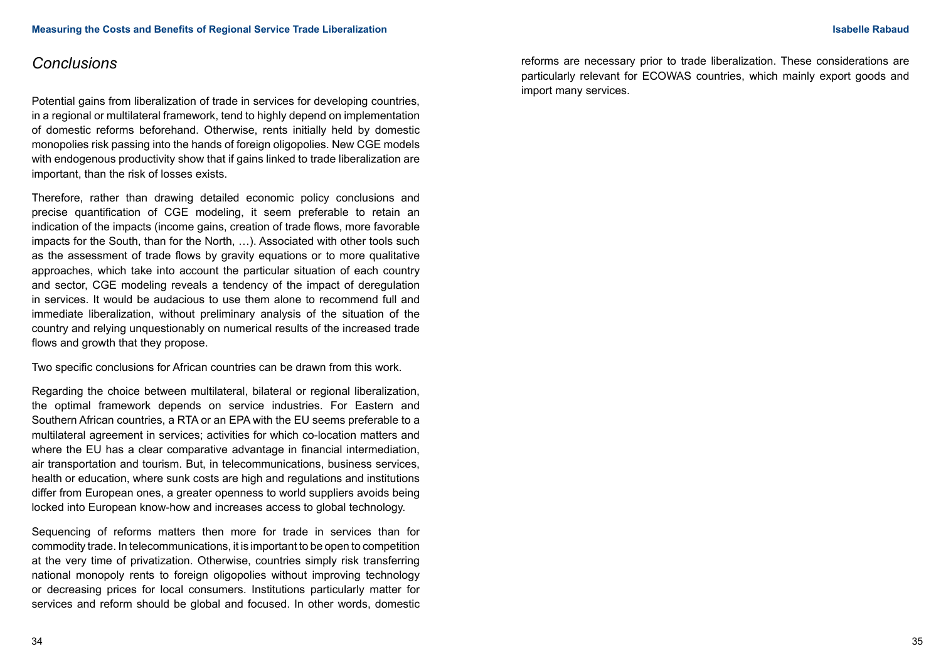# *Conclusions*

Potential gains from liberalization of trade in services for developing countries, in a regional or multilateral framework, tend to highly depend on implementation of domestic reforms beforehand. Otherwise, rents initially held by domestic monopolies risk passing into the hands of foreign oligopolies. New CGE models with endogenous productivity show that if gains linked to trade liberalization are important, than the risk of losses exists.

Therefore, rather than drawing detailed economic policy conclusions and precise quantification of CGE modeling, it seem preferable to retain an indication of the impacts (income gains, creation of trade flows, more favorable impacts for the South, than for the North, …). Associated with other tools such as the assessment of trade flows by gravity equations or to more qualitative approaches, which take into account the particular situation of each country and sector, CGE modeling reveals a tendency of the impact of deregulation in services. It would be audacious to use them alone to recommend full and immediate liberalization, without preliminary analysis of the situation of the country and relying unquestionably on numerical results of the increased trade flows and growth that they propose.

Two specific conclusions for African countries can be drawn from this work.

Regarding the choice between multilateral, bilateral or regional liberalization, the optimal framework depends on service industries. For Eastern and Southern African countries, a RTA or an EPA with the EU seems preferable to a multilateral agreement in services; activities for which co-location matters and where the EU has a clear comparative advantage in financial intermediation, air transportation and tourism. But, in telecommunications, business services, health or education, where sunk costs are high and regulations and institutions differ from European ones, a greater openness to world suppliers avoids being locked into European know-how and increases access to global technology.

Sequencing of reforms matters then more for trade in services than for commodity trade. In telecommunications, it is important to be open to competition at the very time of privatization. Otherwise, countries simply risk transferring national monopoly rents to foreign oligopolies without improving technology or decreasing prices for local consumers. Institutions particularly matter for services and reform should be global and focused. In other words, domestic

reforms are necessary prior to trade liberalization. These considerations are particularly relevant for ECOWAS countries, which mainly export goods and import many services.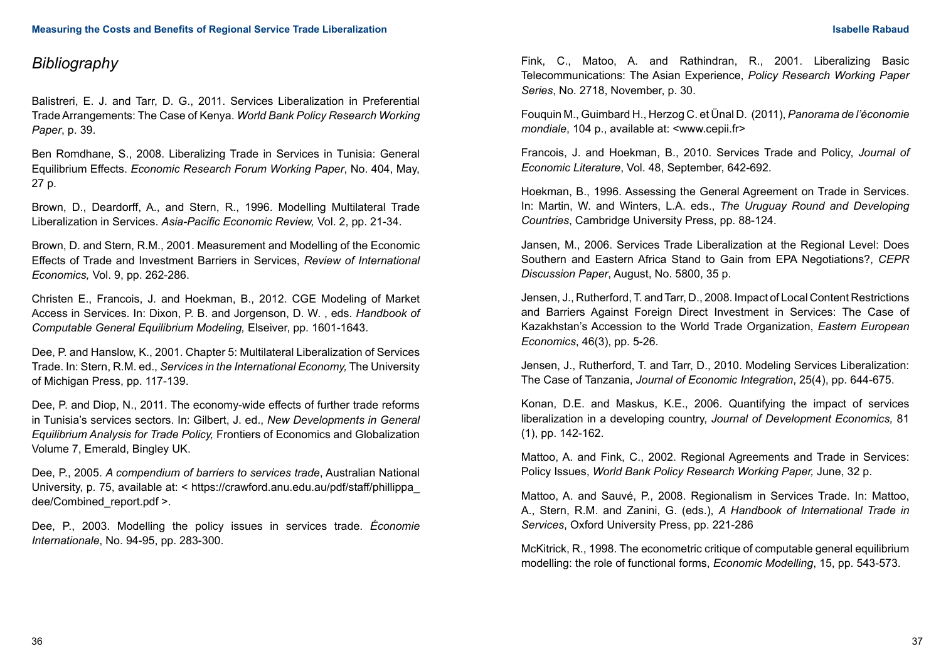# *Bibliography*

Balistreri, E. J. and Tarr, D. G., 2011. Services Liberalization in Preferential Trade Arrangements: The Case of Kenya. *World Bank Policy Research Working Paper*, p. 39.

Ben Romdhane, S., 2008. Liberalizing Trade in Services in Tunisia: General Equilibrium Effects. *Economic Research Forum Working Paper*, No. 404, May, 27 p.

Brown, D., Deardorff, A., and Stern, R., 1996. Modelling Multilateral Trade Liberalization in Services. *Asia-Pacific Economic Review,* Vol. 2, pp. 21-34.

Brown, D. and Stern, R.M., 2001. Measurement and Modelling of the Economic Effects of Trade and Investment Barriers in Services, *Review of International Economics,* Vol. 9, pp. 262-286.

Christen E., Francois, J. and Hoekman, B., 2012. CGE Modeling of Market Access in Services. In: Dixon, P. B. and Jorgenson, D. W. , eds. *Handbook of Computable General Equilibrium Modeling,* Elseiver, pp. 1601-1643.

Dee, P. and Hanslow, K., 2001. Chapter 5: Multilateral Liberalization of Services Trade. In: Stern, R.M. ed., *Services in the International Economy,* The University of Michigan Press, pp. 117-139.

Dee, P. and Diop, N., 2011. The economy-wide effects of further trade reforms in Tunisia's services sectors. In: Gilbert, J. ed., *New Developments in General Equilibrium Analysis for Trade Policy,* Frontiers of Economics and Globalization Volume 7, Emerald, Bingley UK.

Dee, P., 2005. *A compendium of barriers to services trade*, Australian National University, p. 75, available at: < https://crawford.anu.edu.au/pdf/staff/phillippa\_ dee/Combined\_report.pdf >.

Dee, P., 2003. Modelling the policy issues in services trade. *Économie Internationale*, No. 94-95, pp. 283-300.

Fink, C., Matoo, A. and Rathindran, R., 2001. Liberalizing Basic Telecommunications: The Asian Experience, *Policy Research Working Paper Series*, No. 2718, November, p. 30.

Fouquin M., Guimbard H., Herzog C. et Ünal D. (2011), *Panorama de l'économie mondiale*, 104 p., available at: <www.cepii.fr>

Francois, J. and Hoekman, B., 2010. Services Trade and Policy, *Journal of Economic Literature*, Vol. 48, September, 642-692.

Hoekman, B., 1996. Assessing the General Agreement on Trade in Services. In: Martin, W. and Winters, L.A. eds., *The Uruguay Round and Developing Countries*, Cambridge University Press, pp. 88-124.

Jansen, M., 2006. Services Trade Liberalization at the Regional Level: Does Southern and Eastern Africa Stand to Gain from EPA Negotiations?, *CEPR Discussion Paper*, August, No. 5800, 35 p.

Jensen, J., Rutherford, T. and Tarr, D., 2008. Impact of Local Content Restrictions and Barriers Against Foreign Direct Investment in Services: The Case of Kazakhstan's Accession to the World Trade Organization, *Eastern European Economics*, 46(3), pp. 5-26.

Jensen, J., Rutherford, T. and Tarr, D., 2010. Modeling Services Liberalization: The Case of Tanzania, *Journal of Economic Integration*, 25(4), pp. 644-675.

Konan, D.E. and Maskus, K.E., 2006. Quantifying the impact of services liberalization in a developing country, *Journal of Development Economics,* 81 (1), pp. 142-162.

Mattoo, A. and Fink, C., 2002. Regional Agreements and Trade in Services: Policy Issues, *World Bank Policy Research Working Paper,* June, 32 p.

Mattoo, A. and Sauvé, P., 2008. Regionalism in Services Trade. In: Mattoo, A., Stern, R.M. and Zanini, G. (eds.), *A Handbook of International Trade in Services*, Oxford University Press, pp. 221-286

McKitrick, R., 1998. The econometric critique of computable general equilibrium modelling: the role of functional forms, *Economic Modelling*, 15, pp. 543-573.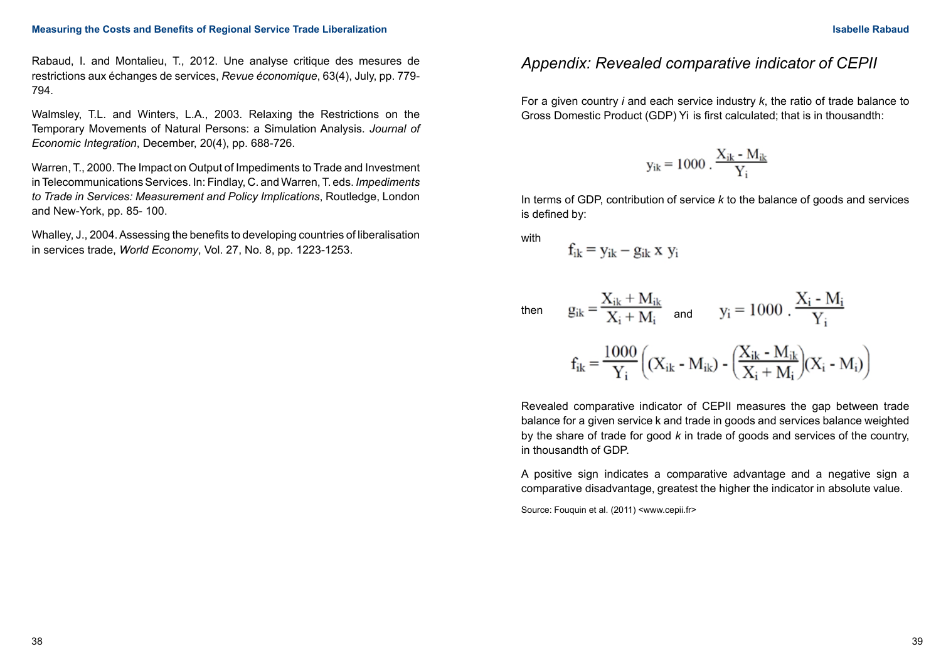Rabaud, I. and Montalieu, T., 2012. Une analyse critique des mesures de restrictions aux échanges de services, *Revue économique*, 63(4), July, pp. 779- 794.

Walmsley, T.L. and Winters, L.A., 2003. Relaxing the Restrictions on the Temporary Movements of Natural Persons: a Simulation Analysis. *Journal of Economic Integration*, December, 20(4), pp. 688-726.

Warren, T., 2000. The Impact on Output of Impediments to Trade and Investment in Telecommunications Services. In: Findlay, C. and Warren, T. eds. *Impediments to Trade in Services: Measurement and Policy Implications*, Routledge, London and New-York, pp. 85- 100.

Whalley, J., 2004. Assessing the benefits to developing countries of liberalisation in services trade, *World Economy*, Vol. 27, No. 8, pp. 1223-1253.

# *Appendix: Revealed comparative indicator of CEPII*

For a given country *i* and each service industry *k*, the ratio of trade balance to Gross Domestic Product (GDP) Yi is first calculated; that is in thousandth:

$$
y_{ik} = 1000 \cdot \frac{X_{ik} - M_{ik}}{Y_i}
$$

In terms of GDP, contribution of service *k* to the balance of goods and services is defined by:

with

then

$$
\mathcal{L}_{\mathcal{A}}(x)
$$

$$
g_{ik} = \frac{X_{ik} + M_{ik}}{X_i + M_i} \quad \text{and} \qquad y_i = 1000 \ . \ \frac{X_i - M_i}{Y_i}
$$

$$
f_{ik} = \frac{1000}{Y_i} \left( (X_{ik} - M_{ik}) - \left( \frac{X_{ik} - M_{ik}}{X_i + M_i} \right) (X_i - M_i) \right)
$$

Revealed comparative indicator of CEPII measures the gap between trade balance for a given service k and trade in goods and services balance weighted by the share of trade for good *k* in trade of goods and services of the country, in thousandth of GDP.

A positive sign indicates a comparative advantage and a negative sign a comparative disadvantage, greatest the higher the indicator in absolute value.

Source: Fouquin et al. (2011) <www.cepii.fr>

 $f_{ik} = y_{ik} - g_{ik} x y_i$